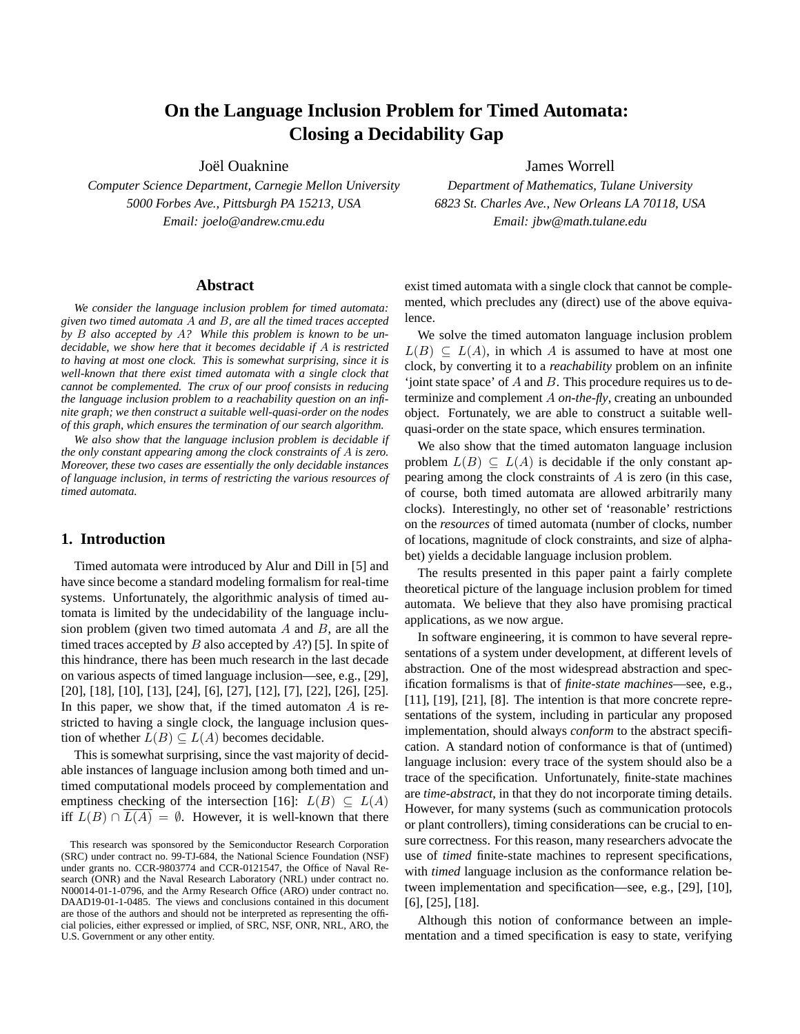# **On the Language Inclusion Problem for Timed Automata: Closing a Decidability Gap**

Joël Ouaknine

*Computer Science Department, Carnegie Mellon University 5000 Forbes Ave., Pittsburgh PA 15213, USA Email: joelo@andrew.cmu.edu*

#### **Abstract**

*We consider the language inclusion problem for timed automata: given two timed automata* A *and* B*, are all the timed traces accepted by* B *also accepted by* A*? While this problem is known to be undecidable, we show here that it becomes decidable if* A *is restricted to having at most one clock. This is somewhat surprising, since it is well-known that there exist timed automata with a single clock that cannot be complemented. The crux of our proof consists in reducing the language inclusion problem to a reachability question on an infinite graph; we then construct a suitable well-quasi-order on the nodes of this graph, which ensures the termination of our search algorithm.*

*We also show that the language inclusion problem is decidable if the only constant appearing among the clock constraints of* A *is zero. Moreover, these two cases are essentially the only decidable instances of language inclusion, in terms of restricting the various resources of timed automata.*

## **1. Introduction**

Timed automata were introduced by Alur and Dill in [5] and have since become a standard modeling formalism for real-time systems. Unfortunately, the algorithmic analysis of timed automata is limited by the undecidability of the language inclusion problem (given two timed automata  $A$  and  $B$ , are all the timed traces accepted by  $B$  also accepted by  $A$ ?) [5]. In spite of this hindrance, there has been much research in the last decade on various aspects of timed language inclusion—see, e.g., [29], [20], [18], [10], [13], [24], [6], [27], [12], [7], [22], [26], [25]. In this paper, we show that, if the timed automaton  $A$  is restricted to having a single clock, the language inclusion question of whether  $L(B) \subseteq L(A)$  becomes decidable.

This is somewhat surprising, since the vast majority of decidable instances of language inclusion among both timed and untimed computational models proceed by complementation and emptiness checking of the intersection [16]:  $L(B) \subseteq L(A)$ iff  $L(B) \cap L(A) = \emptyset$ . However, it is well-known that there James Worrell

*Department of Mathematics, Tulane University 6823 St. Charles Ave., New Orleans LA 70118, USA Email: jbw@math.tulane.edu*

exist timed automata with a single clock that cannot be complemented, which precludes any (direct) use of the above equivalence.

We solve the timed automaton language inclusion problem  $L(B) \subseteq L(A)$ , in which A is assumed to have at most one clock, by converting it to a *reachability* problem on an infinite 'joint state space' of A and B. This procedure requires us to determinize and complement A *on-the-fly*, creating an unbounded object. Fortunately, we are able to construct a suitable wellquasi-order on the state space, which ensures termination.

We also show that the timed automaton language inclusion problem  $L(B) \subseteq L(A)$  is decidable if the only constant appearing among the clock constraints of A is zero (in this case, of course, both timed automata are allowed arbitrarily many clocks). Interestingly, no other set of 'reasonable' restrictions on the *resources* of timed automata (number of clocks, number of locations, magnitude of clock constraints, and size of alphabet) yields a decidable language inclusion problem.

The results presented in this paper paint a fairly complete theoretical picture of the language inclusion problem for timed automata. We believe that they also have promising practical applications, as we now argue.

In software engineering, it is common to have several representations of a system under development, at different levels of abstraction. One of the most widespread abstraction and specification formalisms is that of *finite-state machines*—see, e.g.,  $[11]$ ,  $[19]$ ,  $[21]$ ,  $[8]$ . The intention is that more concrete representations of the system, including in particular any proposed implementation, should always *conform* to the abstract specification. A standard notion of conformance is that of (untimed) language inclusion: every trace of the system should also be a trace of the specification. Unfortunately, finite-state machines are *time-abstract*, in that they do not incorporate timing details. However, for many systems (such as communication protocols or plant controllers), timing considerations can be crucial to ensure correctness. For this reason, many researchers advocate the use of *timed* finite-state machines to represent specifications, with *timed* language inclusion as the conformance relation between implementation and specification—see, e.g., [29], [10], [6], [25], [18].

Although this notion of conformance between an implementation and a timed specification is easy to state, verifying

This research was sponsored by the Semiconductor Research Corporation (SRC) under contract no. 99-TJ-684, the National Science Foundation (NSF) under grants no. CCR-9803774 and CCR-0121547, the Office of Naval Research (ONR) and the Naval Research Laboratory (NRL) under contract no. N00014-01-1-0796, and the Army Research Office (ARO) under contract no. DAAD19-01-1-0485. The views and conclusions contained in this document are those of the authors and should not be interpreted as representing the official policies, either expressed or implied, of SRC, NSF, ONR, NRL, ARO, the U.S. Government or any other entity.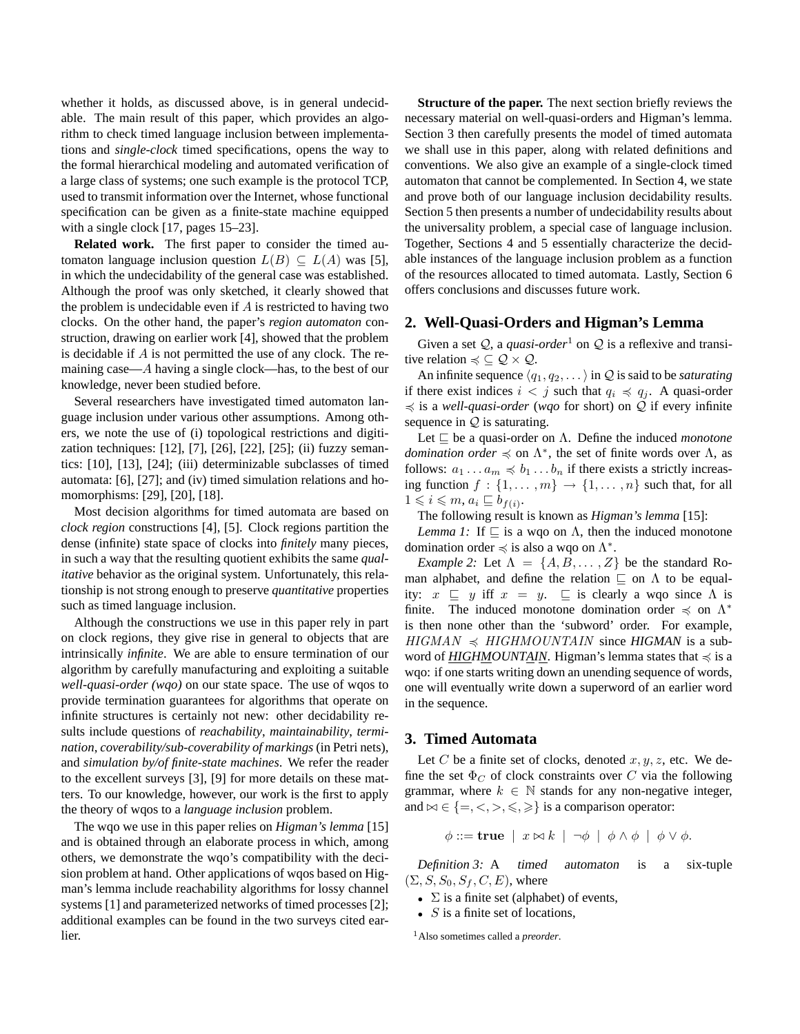whether it holds, as discussed above, is in general undecidable. The main result of this paper, which provides an algorithm to check timed language inclusion between implementations and *single-clock* timed specifications, opens the way to the formal hierarchical modeling and automated verification of a large class of systems; one such example is the protocol TCP, used to transmit information over the Internet, whose functional specification can be given as a finite-state machine equipped with a single clock [17, pages 15–23].

**Related work.** The first paper to consider the timed automaton language inclusion question  $L(B) \subseteq L(A)$  was [5], in which the undecidability of the general case was established. Although the proof was only sketched, it clearly showed that the problem is undecidable even if  $A$  is restricted to having two clocks. On the other hand, the paper's *region automaton* construction, drawing on earlier work [4], showed that the problem is decidable if A is not permitted the use of any clock. The remaining case—A having a single clock—has, to the best of our knowledge, never been studied before.

Several researchers have investigated timed automaton language inclusion under various other assumptions. Among others, we note the use of (i) topological restrictions and digitization techniques: [12], [7], [26], [22], [25]; (ii) fuzzy semantics: [10], [13], [24]; (iii) determinizable subclasses of timed automata: [6], [27]; and (iv) timed simulation relations and homomorphisms: [29], [20], [18].

Most decision algorithms for timed automata are based on *clock region* constructions [4], [5]. Clock regions partition the dense (infinite) state space of clocks into *finitely* many pieces, in such a way that the resulting quotient exhibits the same *qualitative* behavior as the original system. Unfortunately, this relationship is not strong enough to preserve *quantitative* properties such as timed language inclusion.

Although the constructions we use in this paper rely in part on clock regions, they give rise in general to objects that are intrinsically *infinite*. We are able to ensure termination of our algorithm by carefully manufacturing and exploiting a suitable *well-quasi-order (wqo)* on our state space. The use of wqos to provide termination guarantees for algorithms that operate on infinite structures is certainly not new: other decidability results include questions of *reachability*, *maintainability*, *termination*, *coverability/sub-coverability of markings* (in Petri nets), and *simulation by/of finite-state machines*. We refer the reader to the excellent surveys [3], [9] for more details on these matters. To our knowledge, however, our work is the first to apply the theory of wqos to a *language inclusion* problem.

The wqo we use in this paper relies on *Higman's lemma* [15] and is obtained through an elaborate process in which, among others, we demonstrate the wqo's compatibility with the decision problem at hand. Other applications of wqos based on Higman's lemma include reachability algorithms for lossy channel systems [1] and parameterized networks of timed processes [2]; additional examples can be found in the two surveys cited earlier.

**Structure of the paper.** The next section briefly reviews the necessary material on well-quasi-orders and Higman's lemma. Section 3 then carefully presents the model of timed automata we shall use in this paper, along with related definitions and conventions. We also give an example of a single-clock timed automaton that cannot be complemented. In Section 4, we state and prove both of our language inclusion decidability results. Section 5 then presents a number of undecidability results about the universality problem, a special case of language inclusion. Together, Sections 4 and 5 essentially characterize the decidable instances of the language inclusion problem as a function of the resources allocated to timed automata. Lastly, Section 6 offers conclusions and discusses future work.

## **2. Well-Quasi-Orders and Higman's Lemma**

Given a set  $Q$ , a *quasi-order*<sup>1</sup> on  $Q$  is a reflexive and transitive relation  $\preccurlyeq \subseteq \mathcal{Q} \times \mathcal{Q}$ .

An infinite sequence  $\langle q_1, q_2, \ldots \rangle$  in  $\mathcal Q$  is said to be *saturating* if there exist indices  $i < j$  such that  $q_i \preccurlyeq q_j$ . A quasi-order  $\preccurlyeq$  is a *well-quasi-order* (*wqo* for short) on Q if every infinite sequence in  $Q$  is saturating.

Let  $\sqsubseteq$  be a quasi-order on Λ. Define the induced *monotone domination order*  $\preccurlyeq$  on  $\Lambda^*$ , the set of finite words over  $\Lambda$ , as follows:  $a_1 \ldots a_m \preccurlyeq b_1 \ldots b_n$  if there exists a strictly increasing function  $f : \{1, \ldots, m\} \rightarrow \{1, \ldots, n\}$  such that, for all  $1 \leqslant i \leqslant m, a_i \sqsubseteq b_{f(i)}.$ 

The following result is known as *Higman's lemma* [15]:

*Lemma 1:* If  $\sqsubseteq$  is a wqo on  $\Lambda$ , then the induced monotone domination order  $\preccurlyeq$  is also a wqo on  $\Lambda^*$ .

*Example* 2: Let  $\Lambda = \{A, B, \ldots, Z\}$  be the standard Roman alphabet, and define the relation  $\sqsubseteq$  on  $\Lambda$  to be equality:  $x \subseteq y$  iff  $x = y$ .  $\subseteq$  is clearly a wqo since  $\Lambda$  is finite. The induced monotone domination order  $\preccurlyeq$  on  $\Lambda^*$ is then none other than the 'subword' order. For example,  $HIGMAN \preccurlyeq HIGHMOUNTAIN$  since *HIGMAN* is a subword of *HIGHMOUNTAIN*. Higman's lemma states that  $\preccurlyeq$  is a wqo: if one starts writing down an unending sequence of words, one will eventually write down a superword of an earlier word in the sequence.

### **3. Timed Automata**

Let C be a finite set of clocks, denoted  $x, y, z$ , etc. We define the set  $\Phi_C$  of clock constraints over C via the following grammar, where  $k \in \mathbb{N}$  stands for any non-negative integer, and  $\bowtie \in \{ =, \leq, >, \leq, \geq \}$  is a comparison operator:

$$
\phi ::= \mathbf{true} \mid x \bowtie k \mid \neg \phi \mid \phi \land \phi \mid \phi \lor \phi.
$$

*Definition 3:* A timed automaton is a six-tuple  $(\Sigma, S, S_0, S_f, C, E)$ , where

- $\Sigma$  is a finite set (alphabet) of events,
- $S$  is a finite set of locations,

<sup>1</sup>Also sometimes called a *preorder*.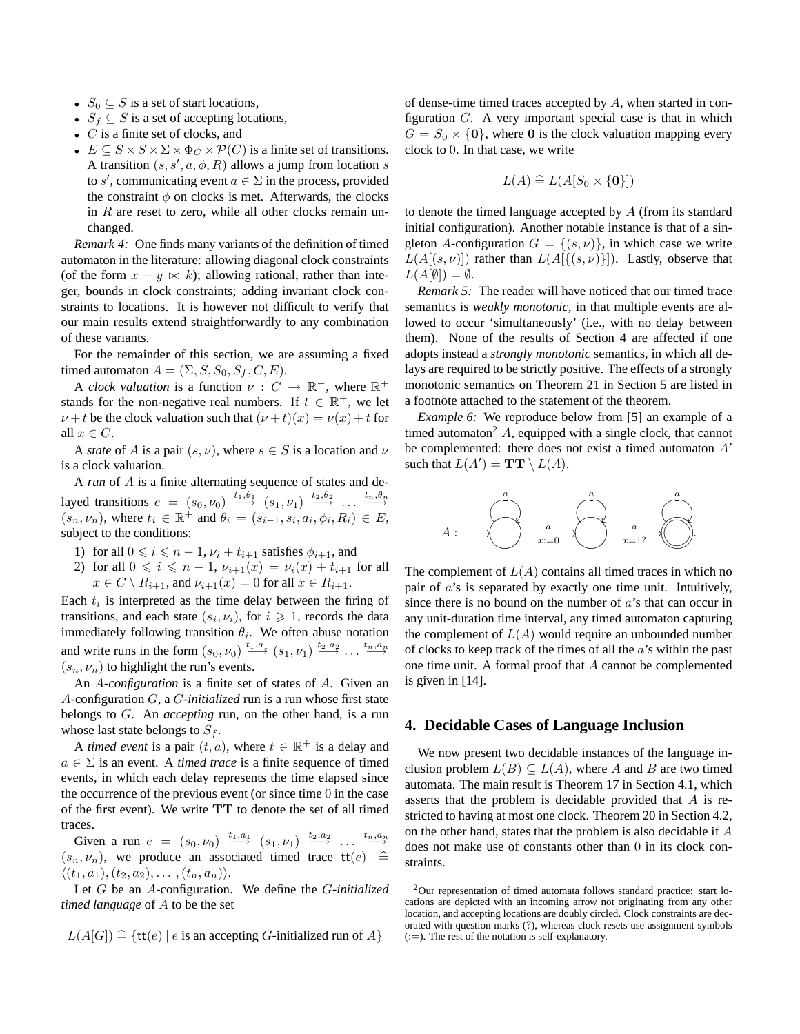- $S_0 \subseteq S$  is a set of start locations,
- $S_f \subseteq S$  is a set of accepting locations,
- $C$  is a finite set of clocks, and
- $E \subseteq S \times S \times \Sigma \times \Phi_C \times \mathcal{P}(C)$  is a finite set of transitions. A transition  $(s, s', a, \phi, R)$  allows a jump from location s to s', communicating event  $a \in \Sigma$  in the process, provided the constraint  $\phi$  on clocks is met. Afterwards, the clocks in  $R$  are reset to zero, while all other clocks remain unchanged.

*Remark 4:* One finds many variants of the definition of timed automaton in the literature: allowing diagonal clock constraints (of the form  $x - y \bowtie k$ ); allowing rational, rather than integer, bounds in clock constraints; adding invariant clock constraints to locations. It is however not difficult to verify that our main results extend straightforwardly to any combination of these variants.

For the remainder of this section, we are assuming a fixed timed automaton  $A = (\Sigma, S, S_0, S_f, C, E)$ .

A *clock valuation* is a function  $\nu : C \to \mathbb{R}^+$ , where  $\mathbb{R}^+$ stands for the non-negative real numbers. If  $t \in \mathbb{R}^+$ , we let  $\nu + t$  be the clock valuation such that  $(\nu + t)(x) = \nu(x) + t$  for all  $x \in C$ .

A *state* of A is a pair  $(s, \nu)$ , where  $s \in S$  is a location and  $\nu$ is a clock valuation.

A *run* of A is a finite alternating sequence of states and delayed transitions  $e = (s_0, \nu_0) \xrightarrow{t_1, \theta_1} (s_1, \nu_1) \xrightarrow{t_2, \theta_2} \dots \xrightarrow{t_n, \theta_n}$  $(s_n, \nu_n)$ , where  $t_i \in \mathbb{R}^+$  and  $\theta_i = (s_{i-1}, s_i, a_i, \phi_i, R_i) \in E$ , subject to the conditions:

- 1) for all  $0 \le i \le n 1$ ,  $\nu_i + t_{i+1}$  satisfies  $\phi_{i+1}$ , and
- 2) for all  $0 \le i \le n 1$ ,  $\nu_{i+1}(x) = \nu_i(x) + t_{i+1}$  for all  $x \in C \setminus R_{i+1}$ , and  $\nu_{i+1}(x) = 0$  for all  $x \in R_{i+1}$ .

Each  $t_i$  is interpreted as the time delay between the firing of transitions, and each state  $(s_i, \nu_i)$ , for  $i \geq 1$ , records the data immediately following transition  $\theta_i$ . We often abuse notation and write runs in the form  $(s_0, \nu_0) \stackrel{t_1, a_1}{\longrightarrow} (s_1, \nu_1) \stackrel{t_2, a_2}{\longrightarrow} \dots \stackrel{t_n, a_n}{\longrightarrow}$  $(s_n, \nu_n)$  to highlight the run's events.

An A*-configuration* is a finite set of states of A. Given an A-configuration G, a G*-initialized* run is a run whose first state belongs to G. An *accepting* run, on the other hand, is a run whose last state belongs to  $S_f$ .

A *timed event* is a pair  $(t, a)$ , where  $t \in \mathbb{R}^+$  is a delay and  $a \in \Sigma$  is an event. A *timed trace* is a finite sequence of timed events, in which each delay represents the time elapsed since the occurrence of the previous event (or since time 0 in the case of the first event). We write TT to denote the set of all timed traces.

Given a run  $e = (s_0, \nu_0) \stackrel{t_1, a_1}{\longrightarrow} (s_1, \nu_1) \stackrel{t_2, a_2}{\longrightarrow} \dots \stackrel{t_n, a_n}{\longrightarrow}$  $(s_n, \nu_n)$ , we produce an associated timed trace  $\mathsf{tt}(e) \triangleq$  $\langle (t_1, a_1), (t_2, a_2), \ldots, (t_n, a_n) \rangle.$ 

Let G be an A-configuration. We define the G*-initialized timed language* of A to be the set

 $L(A[G]) \cong \{ \text{tt}(e) | e \text{ is an accepting } G\text{-initialized run of } A \}$ 

of dense-time timed traces accepted by A, when started in configuration  $G$ . A very important special case is that in which  $G = S_0 \times \{0\}$ , where 0 is the clock valuation mapping every clock to 0. In that case, we write

$$
L(A) \cong L(A[S_0 \times \{\mathbf{0}\}])
$$

to denote the timed language accepted by A (from its standard initial configuration). Another notable instance is that of a singleton A-configuration  $G = \{(s, \nu)\}\$ , in which case we write  $L(A[(s,\nu)])$  rather than  $L(A[\{(s,\nu)\}])$ . Lastly, observe that  $L(A[\emptyset]) = \emptyset.$ 

*Remark 5:* The reader will have noticed that our timed trace semantics is *weakly monotonic*, in that multiple events are allowed to occur 'simultaneously' (i.e., with no delay between them). None of the results of Section 4 are affected if one adopts instead a *strongly monotonic* semantics, in which all delays are required to be strictly positive. The effects of a strongly monotonic semantics on Theorem 21 in Section 5 are listed in a footnote attached to the statement of the theorem.

*Example 6:* We reproduce below from [5] an example of a timed automaton<sup>2</sup> A, equipped with a single clock, that cannot be complemented: there does not exist a timed automaton  $A<sup>'</sup>$ such that  $L(A') = \mathbf{TT} \setminus L(A)$ .



The complement of  $L(A)$  contains all timed traces in which no pair of a's is separated by exactly one time unit. Intuitively, since there is no bound on the number of  $a$ 's that can occur in any unit-duration time interval, any timed automaton capturing the complement of  $L(A)$  would require an unbounded number of clocks to keep track of the times of all the  $a$ 's within the past one time unit. A formal proof that A cannot be complemented is given in [14].

# **4. Decidable Cases of Language Inclusion**

We now present two decidable instances of the language inclusion problem  $L(B) \subseteq L(A)$ , where A and B are two timed automata. The main result is Theorem 17 in Section 4.1, which asserts that the problem is decidable provided that A is restricted to having at most one clock. Theorem 20 in Section 4.2, on the other hand, states that the problem is also decidable if A does not make use of constants other than 0 in its clock constraints.

<sup>2</sup>Our representation of timed automata follows standard practice: start locations are depicted with an incoming arrow not originating from any other location, and accepting locations are doubly circled. Clock constraints are decorated with question marks (?), whereas clock resets use assignment symbols  $(:=).$  The rest of the notation is self-explanatory.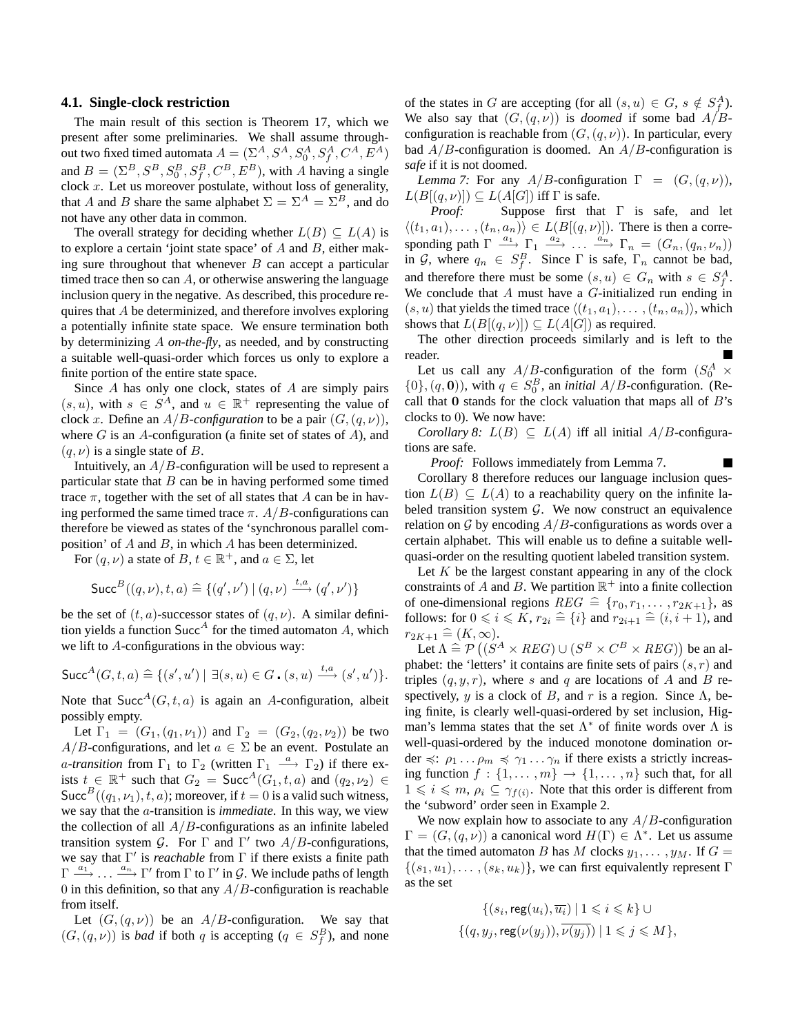#### **4.1. Single-clock restriction**

The main result of this section is Theorem 17, which we present after some preliminaries. We shall assume throughout two fixed timed automata  $A=(\Sigma^{A}, S^{A}, S^{A}_{0}, S^{A}_{f}, C^{A}, E^{A})$ and  $B = (\Sigma^B, S^B, S^B_0, S^B_f, C^B, E^B)$ , with A having a single clock  $x$ . Let us moreover postulate, without loss of generality, that A and B share the same alphabet  $\Sigma = \Sigma^A = \Sigma^B$ , and do not have any other data in common.

The overall strategy for deciding whether  $L(B) \subseteq L(A)$  is to explore a certain 'joint state space' of  $A$  and  $B$ , either making sure throughout that whenever  $B$  can accept a particular timed trace then so can  $A$ , or otherwise answering the language inclusion query in the negative. As described, this procedure requires that A be determinized, and therefore involves exploring a potentially infinite state space. We ensure termination both by determinizing A *on-the-fly*, as needed, and by constructing a suitable well-quasi-order which forces us only to explore a finite portion of the entire state space.

Since A has only one clock, states of A are simply pairs  $(s, u)$ , with  $s \in S^A$ , and  $u \in \mathbb{R}^+$  representing the value of clock x. Define an  $A/B$ -configuration to be a pair  $(G, (q, \nu))$ , where  $G$  is an  $A$ -configuration (a finite set of states of  $A$ ), and  $(q, \nu)$  is a single state of B.

Intuitively, an  $A/B$ -configuration will be used to represent a particular state that  $B$  can be in having performed some timed trace  $\pi$ , together with the set of all states that A can be in having performed the same timed trace  $\pi$ . A/B-configurations can therefore be viewed as states of the 'synchronous parallel composition' of A and B, in which A has been determinized.

For  $(q, \nu)$  a state of  $B, t \in \mathbb{R}^+$ , and  $a \in \Sigma$ , let

$$
\mathsf{Succ}^{B}((q,\nu), t, a) \cong \{(q',\nu') \mid (q,\nu) \xrightarrow{t, a} (q',\nu')\}
$$

be the set of  $(t, a)$ -successor states of  $(q, \nu)$ . A similar definition yields a function  $Succ<sup>A</sup>$  for the timed automaton A, which we lift to A-configurations in the obvious way:

$$
\mathsf{Succ}^A(G, t, a) \stackrel{\sim}{=} \{ (s', u') \mid \exists (s, u) \in G \cdot (s, u) \xrightarrow{t, a} (s', u') \}.
$$

Note that Succ<sup>A</sup>( $G, t, a$ ) is again an A-configuration, albeit possibly empty.

Let  $\Gamma_1 = (G_1, (q_1, \nu_1))$  and  $\Gamma_2 = (G_2, (q_2, \nu_2))$  be two  $A/B$ -configurations, and let  $a \in \Sigma$  be an event. Postulate an *a-transition* from  $\Gamma_1$  to  $\Gamma_2$  (written  $\Gamma_1 \stackrel{a}{\longrightarrow} \Gamma_2$ ) if there exists  $t \in \mathbb{R}^+$  such that  $G_2 = \text{Succ}^A(G_1, t, a)$  and  $(q_2, \nu_2) \in$ Succ<sup>B</sup>((q<sub>1</sub>,  $\nu$ <sub>1</sub>), t, a); moreover, if  $t = 0$  is a valid such witness, we say that the a-transition is *immediate*. In this way, we view the collection of all  $A/B$ -configurations as an infinite labeled transition system G. For  $\Gamma$  and  $\Gamma'$  two  $A/B$ -configurations, we say that  $\Gamma'$  is *reachable* from  $\Gamma$  if there exists a finite path  $\Gamma \stackrel{a_1}{\longrightarrow} \ldots \stackrel{a_n}{\longrightarrow} \Gamma'$  from  $\Gamma$  to  $\Gamma'$  in  $\mathcal{G}$ . We include paths of length 0 in this definition, so that any  $A/B$ -configuration is reachable from itself.

Let  $(G, (q, \nu))$  be an A/B-configuration. We say that  $(G, (q, \nu))$  is *bad* if both q is accepting  $(q \in S_f^B)$ , and none

of the states in G are accepting (for all  $(s, u) \in G$ ,  $s \notin S_f^A$ ). We also say that  $(G, (q, \nu))$  is *doomed* if some bad  $A/B$ configuration is reachable from  $(G, (q, \nu))$ . In particular, every bad  $A/B$ -configuration is doomed. An  $A/B$ -configuration is *safe* if it is not doomed.

*Lemma* 7: For any  $A/B$ -configuration  $\Gamma = (G, (q, \nu))$ ,  $L(B[(q,\nu)]) \subseteq L(A[G])$  iff  $\Gamma$  is safe.<br>*Proof:* Suppose first tha

*Proof:* Suppose first that Γ is safe, and let  $\langle (t_1, a_1), \ldots, (t_n, a_n) \rangle \in L(B[(q, \nu)])$ . There is then a corresponding path  $\Gamma \xrightarrow{a_1} \Gamma_1 \xrightarrow{a_2} \dots \xrightarrow{a_n} \Gamma_n = (G_n, (q_n, \nu_n))$ in G, where  $q_n \in S_f^B$ . Since  $\Gamma$  is safe,  $\Gamma_n$  cannot be bad, and therefore there must be some  $(s, u) \in G_n$  with  $s \in S_f^A$ . We conclude that  $A$  must have a  $G$ -initialized run ending in  $(s, u)$  that yields the timed trace  $\langle (t_1, a_1), \ldots, (t_n, a_n) \rangle$ , which shows that  $L(B[(q,\nu)]) \subseteq L(A[G])$  as required.

The other direction proceeds similarly and is left to the reader.

Let us call any  $A/B$ -configuration of the form  $(S_0^A \times$  $\{0\}, (q, 0)$ , with  $q \in S_0^B$ , an *initial A/B*-configuration. (Recall that  $\bf{0}$  stands for the clock valuation that maps all of  $B$ 's clocks to 0). We now have:

*Corollary* 8:  $L(B) \subseteq L(A)$  iff all initial  $A/B$ -configurations are safe.

*Proof:* Follows immediately from Lemma 7.

Corollary 8 therefore reduces our language inclusion question  $L(B) \subseteq L(A)$  to a reachability query on the infinite labeled transition system  $G$ . We now construct an equivalence relation on  $G$  by encoding  $A/B$ -configurations as words over a certain alphabet. This will enable us to define a suitable wellquasi-order on the resulting quotient labeled transition system.

Let  $K$  be the largest constant appearing in any of the clock constraints of A and B. We partition  $\mathbb{R}^+$  into a finite collection of one-dimensional regions  $REG \triangleq \{r_0, r_1, \ldots, r_{2K+1}\}\$ , as follows: for  $0 \le i \le K$ ,  $r_{2i} \triangleq \{i\}$  and  $r_{2i+1} \triangleq (i, i + 1)$ , and  $r_{2K+1} \widehat{=} (K,\infty).$ 

Let  $\Lambda \cong \mathcal{P} ((S^A \times REG) \cup (S^B \times C^B \times REG))$  be an alphabet: the 'letters' it contains are finite sets of pairs  $(s, r)$  and triples  $(q, y, r)$ , where s and q are locations of A and B respectively, y is a clock of B, and r is a region. Since  $\Lambda$ , being finite, is clearly well-quasi-ordered by set inclusion, Higman's lemma states that the set  $\Lambda^*$  of finite words over  $\Lambda$  is well-quasi-ordered by the induced monotone domination order  $\preccurlyeq$ :  $\rho_1 \ldots \rho_m \preccurlyeq \gamma_1 \ldots \gamma_n$  if there exists a strictly increasing function  $f : \{1, \ldots, m\} \rightarrow \{1, \ldots, n\}$  such that, for all  $1 \leq i \leq m$ ,  $\rho_i \subseteq \gamma_{f(i)}$ . Note that this order is different from the 'subword' order seen in Example 2.

We now explain how to associate to any  $A/B$ -configuration  $\Gamma = (G, (q, \nu))$  a canonical word  $H(\Gamma) \in \Lambda^*$ . Let us assume that the timed automaton B has M clocks  $y_1, \ldots, y_M$ . If  $G =$  $\{(s_1, u_1), \ldots, (s_k, u_k)\}\)$ , we can first equivalently represent  $\Gamma$ as the set

$$
\{(s_i, \text{reg}(u_i), \overline{u_i}) \mid 1 \leq i \leq k\} \cup
$$
  

$$
\{(q, y_j, \text{reg}(\nu(y_j)), \overline{\nu(y_j)}) \mid 1 \leq j \leq M\},\
$$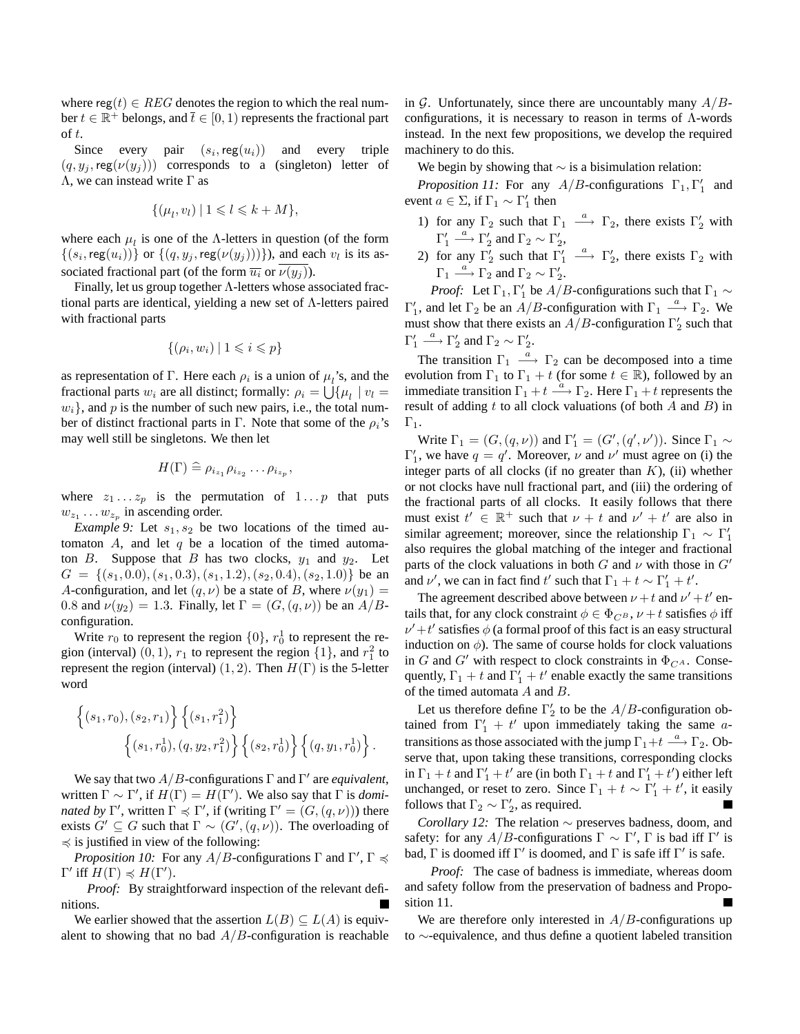where reg(t)  $\in$  REG denotes the region to which the real number  $t \in \mathbb{R}^+$  belongs, and  $\overline{t} \in [0, 1)$  represents the fractional part of t.

Since every pair  $(s_i, \text{reg}(u_i))$  and every triple  $(q, y_j, \text{reg}(\nu(y_j)))$  corresponds to a (singleton) letter of Λ, we can instead write Γ as

$$
\{(\mu_l, v_l) \mid 1 \leqslant l \leqslant k + M\},\
$$

where each  $\mu_l$  is one of the Λ-letters in question (of the form  $\{(s_i, \text{reg}(u_i))\}$  or  $\{(q, y_j, \text{reg}(\nu(y_j)))\}$ ), and each  $v_l$  is its associated fractional part (of the form  $\overline{u_i}$  or  $\overline{\nu(y_i)}$ ).

Finally, let us group together Λ-letters whose associated fractional parts are identical, yielding a new set of Λ-letters paired with fractional parts

$$
\{(\rho_i, w_i) \mid 1 \leq i \leq p\}
$$

as representation of  $\Gamma$ . Here each  $\rho_i$  is a union of  $\mu_i$ 's, and the fractional parts  $w_i$  are all distinct; formally:  $\rho_i = \bigcup \{ \mu_l \mid v_l =$  $w_i$ , and p is the number of such new pairs, i.e., the total number of distinct fractional parts in Γ. Note that some of the  $\rho_i$ 's may well still be singletons. We then let

$$
H(\Gamma) \stackrel{\sim}{=} \rho_{i_{z_1}} \rho_{i_{z_2}} \dots \rho_{i_{z_p}},
$$

where  $z_1 \ldots z_p$  is the permutation of  $1 \ldots p$  that puts  $w_{z_1} \dots w_{z_p}$  in ascending order.

*Example* 9: Let  $s_1, s_2$  be two locations of the timed automaton A, and let q be a location of the timed automaton  $B$ . Suppose that  $B$  has two clocks,  $y_1$  and  $y_2$ . Let  $G = \{(s_1, 0.0), (s_1, 0.3), (s_1, 1.2), (s_2, 0.4), (s_2, 1.0)\}\$ be an A-configuration, and let  $(q, \nu)$  be a state of B, where  $\nu(y_1)$  = 0.8 and  $\nu(y_2) = 1.3$ . Finally, let  $\Gamma = (G, (q, \nu))$  be an  $A/B$ configuration.

Write  $r_0$  to represent the region  $\{0\}$ ,  $r_0^1$  to represent the region (interval)  $(0, 1)$ ,  $r_1$  to represent the region  $\{1\}$ , and  $r_1^2$  to represent the region (interval)  $(1, 2)$ . Then  $H(\Gamma)$  is the 5-letter word

$$
\begin{aligned} \left\{ (s_1, r_0), (s_2, r_1) \right\} \left\{ (s_1, r_1^2) \right\} \\ \left\{ (s_1, r_0^1), (q, y_2, r_1^2) \right\} \left\{ (s_2, r_0^1) \right\} \left\{ (q, y_1, r_0^1) \right\}. \end{aligned}
$$

We say that two  $A/B$ -configurations  $\Gamma$  and  $\Gamma'$  are *equivalent*, written  $\Gamma \sim \Gamma'$ , if  $H(\Gamma) = H(\Gamma')$ . We also say that  $\Gamma$  is *dominated* by  $\Gamma'$ , written  $\Gamma \preccurlyeq \Gamma'$ , if (writing  $\Gamma' = (G, (q, \nu))$ ) there exists  $G' \subseteq G$  such that  $\Gamma \sim (G', (q, \nu))$ . The overloading of  $\leq$  is justified in view of the following:

*Proposition 10:* For any  $A/B$ -configurations  $\Gamma$  and  $\Gamma', \Gamma \preccurlyeq$  $Γ'$  iff  $H(Γ)$   $\preccurlyeq$   $H(Γ').$ 

*Proof:* By straightforward inspection of the relevant definitions.

We earlier showed that the assertion  $L(B) \subseteq L(A)$  is equivalent to showing that no bad  $A/B$ -configuration is reachable in G. Unfortunately, since there are uncountably many  $A/B$ configurations, it is necessary to reason in terms of  $\Lambda$ -words instead. In the next few propositions, we develop the required machinery to do this.

We begin by showing that  $\sim$  is a bisimulation relation:

*Proposition 11:* For any  $A/B$ -configurations  $\Gamma_1, \Gamma'_1$  and event  $a \in \Sigma$ , if  $\Gamma_1 \sim \Gamma_1'$  then

- 1) for any  $\Gamma_2$  such that  $\Gamma_1 \stackrel{a}{\longrightarrow} \Gamma_2$ , there exists  $\Gamma'_2$  with  $\Gamma'_1 \stackrel{a}{\longrightarrow} \Gamma'_2$  and  $\Gamma_2 \sim \Gamma'_2$ ,
- 2) for any  $\Gamma'_2$  such that  $\Gamma'_1 \stackrel{a}{\longrightarrow} \Gamma'_2$ , there exists  $\Gamma_2$  with  $\Gamma_1 \stackrel{a}{\longrightarrow} \Gamma_2$  and  $\Gamma_2 \sim \Gamma_2'$ .

*Proof:* Let  $\Gamma_1$ ,  $\Gamma'_1$  be  $A/B$ -configurations such that  $\Gamma_1 \sim$  $\Gamma'_1$ , and let  $\Gamma_2$  be an  $A/B$ -configuration with  $\Gamma_1 \stackrel{a}{\longrightarrow} \Gamma_2$ . We must show that there exists an  $A/B$ -configuration  $\Gamma'_2$  such that  $\Gamma'_1 \stackrel{a}{\longrightarrow} \Gamma'_2$  and  $\Gamma_2 \sim \Gamma'_2$ .

The transition  $\Gamma_1 \stackrel{a}{\longrightarrow} \Gamma_2$  can be decomposed into a time evolution from  $\Gamma_1$  to  $\Gamma_1 + t$  (for some  $t \in \mathbb{R}$ ), followed by an immediate transition  $\Gamma_1 + t \stackrel{a}{\longrightarrow} \Gamma_2$ . Here  $\Gamma_1 + t$  represents the result of adding t to all clock valuations (of both  $A$  and  $B$ ) in  $\Gamma_1$ .

Write  $\Gamma_1 = (G, (q, \nu))$  and  $\Gamma'_1 = (G', (q', \nu'))$ . Since  $\Gamma_1 \sim$  $\Gamma'_1$ , we have  $q = q'$ . Moreover,  $\nu$  and  $\nu'$  must agree on (i) the integer parts of all clocks (if no greater than  $K$ ), (ii) whether or not clocks have null fractional part, and (iii) the ordering of the fractional parts of all clocks. It easily follows that there must exist  $t' \in \mathbb{R}^+$  such that  $\nu + t$  and  $\nu' + t'$  are also in similar agreement; moreover, since the relationship  $\Gamma_1 \sim \Gamma_1'$ also requires the global matching of the integer and fractional parts of the clock valuations in both G and  $\nu$  with those in G' and  $\nu'$ , we can in fact find  $t'$  such that  $\Gamma_1 + t \sim \Gamma'_1 + t'$ .

The agreement described above between  $\nu + t$  and  $\nu' + t'$  entails that, for any clock constraint  $\phi \in \Phi_{C^B}$ ,  $\nu + t$  satisfies  $\phi$  iff  $\nu'+t'$  satisfies  $\phi$  (a formal proof of this fact is an easy structural induction on  $\phi$ ). The same of course holds for clock valuations in G and G' with respect to clock constraints in  $\Phi_{C^A}$ . Consequently,  $\Gamma_1 + t$  and  $\Gamma'_1 + t'$  enable exactly the same transitions of the timed automata A and B.

Let us therefore define  $\Gamma'_2$  to be the  $A/B$ -configuration obtained from  $\Gamma'_1 + t'$  upon immediately taking the same atransitions as those associated with the jump  $\Gamma_1 + t \stackrel{a}{\longrightarrow} \Gamma_2$ . Observe that, upon taking these transitions, corresponding clocks in  $\Gamma_1 + t$  and  $\Gamma'_1 + t'$  are (in both  $\Gamma_1 + t$  and  $\Gamma'_1 + t'$ ) either left unchanged, or reset to zero. Since  $\Gamma_1 + t \sim \Gamma_1' + t'$ , it easily follows that  $\Gamma_2 \sim \Gamma_2'$ , as required.

*Corollary 12:* The relation ∼ preserves badness, doom, and safety: for any  $A/B$ -configurations  $\Gamma \sim \Gamma'$ ,  $\Gamma$  is bad iff  $\Gamma'$  is bad,  $\Gamma$  is doomed iff  $\Gamma'$  is doomed, and  $\Gamma$  is safe iff  $\Gamma'$  is safe.

*Proof:* The case of badness is immediate, whereas doom and safety follow from the preservation of badness and Proposition 11.

We are therefore only interested in  $A/B$ -configurations up to ∼-equivalence, and thus define a quotient labeled transition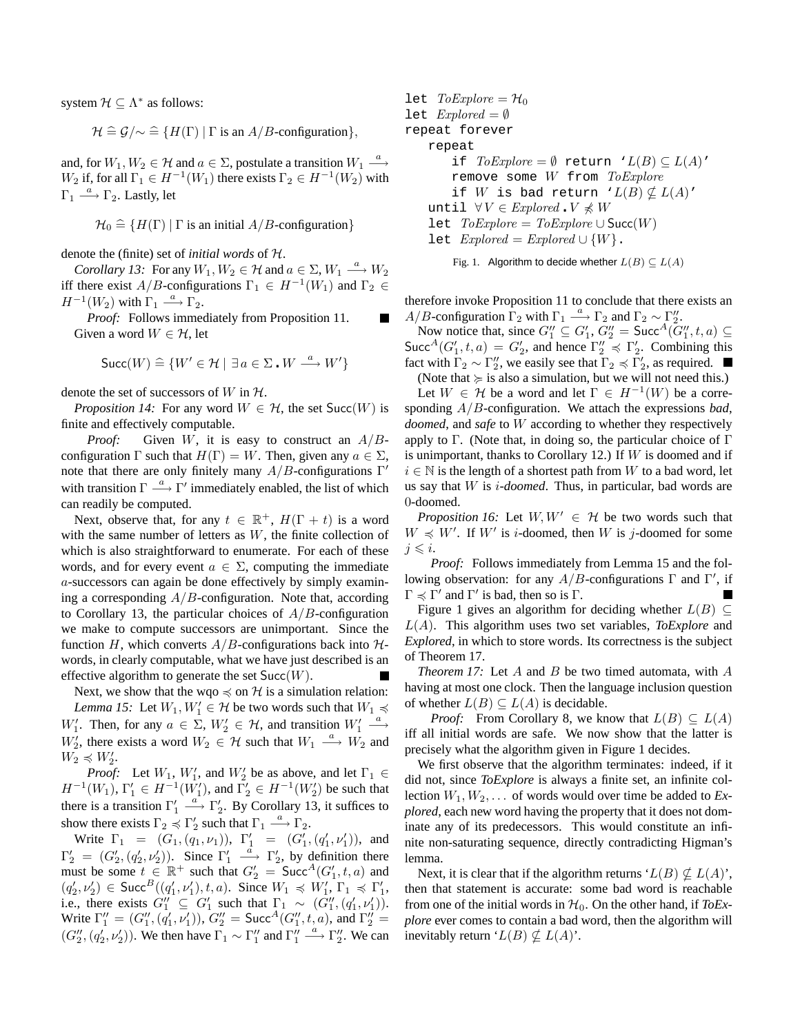system  $\mathcal{H} \subseteq \Lambda^*$  as follows:

$$
\mathcal{H} \cong \mathcal{G}/\sim \cong \{H(\Gamma) \mid \Gamma \text{ is an } A/B\text{-configuration}\},\
$$

and, for  $W_1, W_2 \in \mathcal{H}$  and  $a \in \Sigma$ , postulate a transition  $W_1 \stackrel{a}{\longrightarrow}$  $W_2$  if, for all  $\Gamma_1 \in H^{-1}(W_1)$  there exists  $\Gamma_2 \in H^{-1}(W_2)$  with  $\Gamma_1 \stackrel{a}{\longrightarrow} \Gamma_2$ . Lastly, let

 $\mathcal{H}_0 \cong \{H(\Gamma) | \Gamma \text{ is an initial } A/B\text{-configuration}\}$ 

denote the (finite) set of *initial words* of H.

*Corollary 13:* For any  $W_1, W_2 \in \mathcal{H}$  and  $a \in \Sigma, W_1 \xrightarrow{a} W_2$ iff there exist  $A/B$ -configurations  $\Gamma_1 \in H^{-1}(W_1)$  and  $\Gamma_2 \in$  $H^{-1}(W_2)$  with  $\Gamma_1 \stackrel{a}{\longrightarrow} \Gamma_2$ .

*Proof:* Follows immediately from Proposition 11. Given a word  $W \in \mathcal{H}$ , let

$$
\text{Succ}(W) \stackrel{\sim}{=} \{W' \in \mathcal{H} \mid \exists \, a \in \Sigma \cdot W \stackrel{a}{\longrightarrow} W'\}
$$

denote the set of successors of W in  $H$ .

*Proposition 14:* For any word  $W \in H$ , the set  $Succ(W)$  is finite and effectively computable.

*Proof:* Given W, it is easy to construct an  $A/B$ configuration  $\Gamma$  such that  $H(\Gamma) = W$ . Then, given any  $a \in \Sigma$ , note that there are only finitely many  $A/B$ -configurations  $\Gamma'$ with transition  $\Gamma \stackrel{a}{\longrightarrow} \Gamma'$  immediately enabled, the list of which can readily be computed.

Next, observe that, for any  $t \in \mathbb{R}^+$ ,  $H(\Gamma + t)$  is a word with the same number of letters as  $W$ , the finite collection of which is also straightforward to enumerate. For each of these words, and for every event  $a \in \Sigma$ , computing the immediate a-successors can again be done effectively by simply examining a corresponding  $A/B$ -configuration. Note that, according to Corollary 13, the particular choices of  $A/B$ -configuration we make to compute successors are unimportant. Since the function H, which converts  $A/B$ -configurations back into  $H$ words, in clearly computable, what we have just described is an effective algorithm to generate the set  $Succ(W)$ .

Next, we show that the wqo  $\preccurlyeq$  on H is a simulation relation:

*Lemma 15:* Let  $W_1, W_1' \in \mathcal{H}$  be two words such that  $W_1 \preceq$  $W'_1$ . Then, for any  $a \in \Sigma$ ,  $W'_2 \in \mathcal{H}$ , and transition  $W'_1 \stackrel{a}{\longrightarrow}$  $W_2'$ , there exists a word  $W_2 \in \mathcal{H}$  such that  $W_1 \stackrel{a}{\longrightarrow} W_2$  and  $W_2 \preccurlyeq W_2'.$ 

*Proof:* Let  $W_1$ ,  $W'_1$ , and  $W'_2$  be as above, and let  $\Gamma_1 \in$  $H^{-1}(W_1)$ ,  $\Gamma'_1 \in H^{-1}(W'_1)$ , and  $\Gamma'_2 \in H^{-1}(W'_2)$  be such that there is a transition  $\Gamma'_1 \stackrel{a}{\longrightarrow} \Gamma'_2$ . By Corollary 13, it suffices to show there exists  $\Gamma_2 \preccurlyeq \Gamma'_2$  such that  $\Gamma_1 \stackrel{a}{\longrightarrow} \Gamma_2$ .

Write  $\Gamma_1 = (G_1, (q_1, \nu_1)), \Gamma'_1 = (G'_1, (q'_1, \nu'_1)),$  and  $\Gamma'_2 = (G'_2, (q'_2, \nu'_2))$ . Since  $\Gamma'_1 \xrightarrow{\bar{a}} \Gamma'_2$ , by definition there must be some  $t \in \mathbb{R}^+$  such that  $G'_2 = \text{Succ}^A(G'_1, t, a)$  and  $(q'_2, \nu'_2) \in \text{Succ}^B((q'_1, \nu'_1), t, a)$ . Since  $W_1 \preccurlyeq W'_1, \Gamma_1 \preccurlyeq \Gamma'_1$ , ( $q_2, \nu_2$ )  $\in$  such  $((q_1, \nu_1), \iota, a)$ . since  $w_1 \leq w_1, 1 \leq 1,$ <br>i.e., there exists  $G''_1 \subseteq G'_1$  such that  $\Gamma_1 \sim (G''_1, (q'_1, \nu'_1))$ . Write  $\Gamma_1'' = (G_1'', (q_1', \nu_1')), G_2'' = \text{Succ}^A(G_1'', t, a)$ , and  $\Gamma_2'' =$  $(G_2'', (q_2', \nu_2'))$ . We then have  $\Gamma_1 \sim \Gamma_1''$  and  $\Gamma_1'' \stackrel{a}{\longrightarrow} \Gamma_2''$ . We can let  $ToExplore = \mathcal{H}_0$ let  $Explored = \emptyset$ repeat forever repeat if  $ToExplore = \emptyset$  return  $'L(B) \subset L(A)'$ remove some W from ToExplore if W is bad return  $'L(B) \nsubseteq L(A)'$ until  $∀V ∈ Explored$ .  $V ∗ W$ let  $ToExplore = ToExplore ∪ Succ(W)$ let  $Explored = Explored \cup \{W\}.$ 

Fig. 1. Algorithm to decide whether  $L(B) \subset L(A)$ 

therefore invoke Proposition 11 to conclude that there exists an A/B-configuration  $\Gamma_2$  with  $\Gamma_1 \stackrel{a}{\sim} \Gamma_2$  and  $\Gamma_2 \sim \Gamma_2''$ .

Now notice that, since  $G_1'' \subseteq G_1', G_2'' = \text{Succ}^A(G_1'', t, a) \subseteq$ Succ<sup>A</sup>( $G'_1, t, a$ ) =  $G'_2$ , and hence  $\Gamma''_2 \preccurlyeq \Gamma'_2$ . Combining this fact with  $\Gamma_2 \sim \Gamma_2''$ , we easily see that  $\Gamma_2 \preccurlyeq \Gamma_2'$ , as required.

(Note that  $\succcurlyeq$  is also a simulation, but we will not need this.) Let  $W \in \mathcal{H}$  be a word and let  $\Gamma \in H^{-1}(W)$  be a corresponding A/B-configuration. We attach the expressions *bad*, *doomed*, and *safe* to W according to whether they respectively apply to  $\Gamma$ . (Note that, in doing so, the particular choice of  $\Gamma$ is unimportant, thanks to Corollary 12.) If  $W$  is doomed and if  $i \in \mathbb{N}$  is the length of a shortest path from W to a bad word, let us say that W is i*-doomed*. Thus, in particular, bad words are 0-doomed.

*Proposition 16:* Let  $W, W' \in H$  be two words such that  $W \preccurlyeq W'$ . If W' is *i*-doomed, then W is *j*-doomed for some  $j \leq i$ .

*Proof:* Follows immediately from Lemma 15 and the following observation: for any  $A/B$ -configurations  $\Gamma$  and  $\Gamma'$ , if  $\Gamma \preccurlyeq \Gamma'$  and  $\Gamma'$  is bad, then so is  $\Gamma$ .

Figure 1 gives an algorithm for deciding whether  $L(B) \subseteq$ L(A). This algorithm uses two set variables, *ToExplore* and *Explored*, in which to store words. Its correctness is the subject of Theorem 17.

*Theorem 17:* Let A and B be two timed automata, with A having at most one clock. Then the language inclusion question of whether  $L(B) \subseteq L(A)$  is decidable.

*Proof:* From Corollary 8, we know that  $L(B) \subseteq L(A)$ iff all initial words are safe. We now show that the latter is precisely what the algorithm given in Figure 1 decides.

We first observe that the algorithm terminates: indeed, if it did not, since *ToExplore* is always a finite set, an infinite collection  $W_1, W_2, \ldots$  of words would over time be added to  $Ex$ *plored*, each new word having the property that it does not dominate any of its predecessors. This would constitute an infinite non-saturating sequence, directly contradicting Higman's lemma.

Next, it is clear that if the algorithm returns ' $L(B) \nsubseteq L(A)$ ', then that statement is accurate: some bad word is reachable from one of the initial words in  $H_0$ . On the other hand, if *ToExplore* ever comes to contain a bad word, then the algorithm will inevitably return ' $L(B) \nsubseteq L(A)$ '.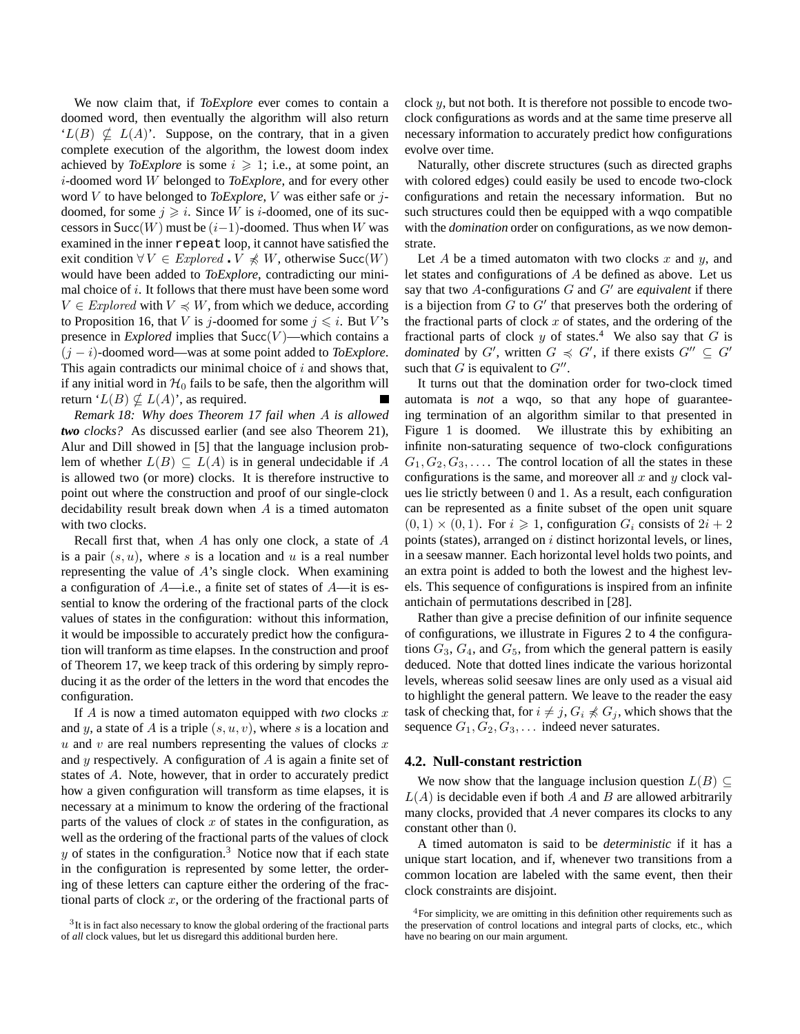We now claim that, if *ToExplore* ever comes to contain a doomed word, then eventually the algorithm will also return  $'L(B) \nsubseteq L(A)$ . Suppose, on the contrary, that in a given complete execution of the algorithm, the lowest doom index achieved by *ToExplore* is some  $i \geq 1$ ; i.e., at some point, an i-doomed word W belonged to *ToExplore*, and for every other word V to have belonged to *ToExplore*, V was either safe or jdoomed, for some  $j \geq i$ . Since W is *i*-doomed, one of its successors in Succ(W) must be  $(i-1)$ -doomed. Thus when W was examined in the inner repeat loop, it cannot have satisfied the exit condition  $\forall V \in \mathbb{E}$  *xplored*  $\mathbf{V} \not\preccurlyeq W$ , otherwise  $\mathsf{Succ}(W)$ would have been added to *ToExplore*, contradicting our minimal choice of i. It follows that there must have been some word  $V \in$  Explored with  $V \preccurlyeq W$ , from which we deduce, according to Proposition 16, that V is j-doomed for some  $j \le i$ . But V's presence in *Explored* implies that  $Succ(V)$ —which contains a (j − i)-doomed word—was at some point added to *ToExplore*. This again contradicts our minimal choice of  $i$  and shows that, if any initial word in  $H_0$  fails to be safe, then the algorithm will return ' $L(B) \nsubseteq L(A)$ ', as required.

*Remark 18: Why does Theorem 17 fail when* A *is allowed two clocks?* As discussed earlier (and see also Theorem 21), Alur and Dill showed in [5] that the language inclusion problem of whether  $L(B) \subseteq L(A)$  is in general undecidable if A is allowed two (or more) clocks. It is therefore instructive to point out where the construction and proof of our single-clock decidability result break down when  $A$  is a timed automaton with two clocks.

Recall first that, when A has only one clock, a state of  $A$ is a pair  $(s, u)$ , where s is a location and u is a real number representing the value of A's single clock. When examining a configuration of  $A$ —i.e., a finite set of states of  $A$ —it is essential to know the ordering of the fractional parts of the clock values of states in the configuration: without this information, it would be impossible to accurately predict how the configuration will tranform as time elapses. In the construction and proof of Theorem 17, we keep track of this ordering by simply reproducing it as the order of the letters in the word that encodes the configuration.

If A is now a timed automaton equipped with *two* clocks x and y, a state of A is a triple  $(s, u, v)$ , where s is a location and u and v are real numbers representing the values of clocks  $x$ and  $y$  respectively. A configuration of  $A$  is again a finite set of states of A. Note, however, that in order to accurately predict how a given configuration will transform as time elapses, it is necessary at a minimum to know the ordering of the fractional parts of the values of clock  $x$  of states in the configuration, as well as the ordering of the fractional parts of the values of clock  $y$  of states in the configuration.<sup>3</sup> Notice now that if each state in the configuration is represented by some letter, the ordering of these letters can capture either the ordering of the fractional parts of clock  $x$ , or the ordering of the fractional parts of clock  $y$ , but not both. It is therefore not possible to encode twoclock configurations as words and at the same time preserve all necessary information to accurately predict how configurations evolve over time.

Naturally, other discrete structures (such as directed graphs with colored edges) could easily be used to encode two-clock configurations and retain the necessary information. But no such structures could then be equipped with a wqo compatible with the *domination* order on configurations, as we now demonstrate.

Let  $A$  be a timed automaton with two clocks  $x$  and  $y$ , and let states and configurations of A be defined as above. Let us say that two  $A$ -configurations  $G$  and  $G'$  are *equivalent* if there is a bijection from  $G$  to  $G'$  that preserves both the ordering of the fractional parts of clock  $x$  of states, and the ordering of the fractional parts of clock y of states.<sup>4</sup> We also say that G is *dominated* by G', written  $G \preccurlyeq G'$ , if there exists  $G'' \subseteq G'$ such that G is equivalent to  $G''$ .

It turns out that the domination order for two-clock timed automata is *not* a wqo, so that any hope of guaranteeing termination of an algorithm similar to that presented in Figure 1 is doomed. We illustrate this by exhibiting an infinite non-saturating sequence of two-clock configurations  $G_1, G_2, G_3, \ldots$ . The control location of all the states in these configurations is the same, and moreover all  $x$  and  $y$  clock values lie strictly between 0 and 1. As a result, each configuration can be represented as a finite subset of the open unit square  $(0, 1) \times (0, 1)$ . For  $i \ge 1$ , configuration  $G_i$  consists of  $2i + 2$ points (states), arranged on  $i$  distinct horizontal levels, or lines, in a seesaw manner. Each horizontal level holds two points, and an extra point is added to both the lowest and the highest levels. This sequence of configurations is inspired from an infinite antichain of permutations described in [28].

Rather than give a precise definition of our infinite sequence of configurations, we illustrate in Figures 2 to 4 the configurations  $G_3, G_4$ , and  $G_5$ , from which the general pattern is easily deduced. Note that dotted lines indicate the various horizontal levels, whereas solid seesaw lines are only used as a visual aid to highlight the general pattern. We leave to the reader the easy task of checking that, for  $i \neq j$ ,  $G_i \npreccurlyeq G_j$ , which shows that the sequence  $G_1, G_2, G_3, \ldots$  indeed never saturates.

#### **4.2. Null-constant restriction**

We now show that the language inclusion question  $L(B) \subseteq$  $L(A)$  is decidable even if both A and B are allowed arbitrarily many clocks, provided that A never compares its clocks to any constant other than 0.

A timed automaton is said to be *deterministic* if it has a unique start location, and if, whenever two transitions from a common location are labeled with the same event, then their clock constraints are disjoint.

<sup>&</sup>lt;sup>3</sup>It is in fact also necessary to know the global ordering of the fractional parts of *all* clock values, but let us disregard this additional burden here.

<sup>4</sup>For simplicity, we are omitting in this definition other requirements such as the preservation of control locations and integral parts of clocks, etc., which have no bearing on our main argument.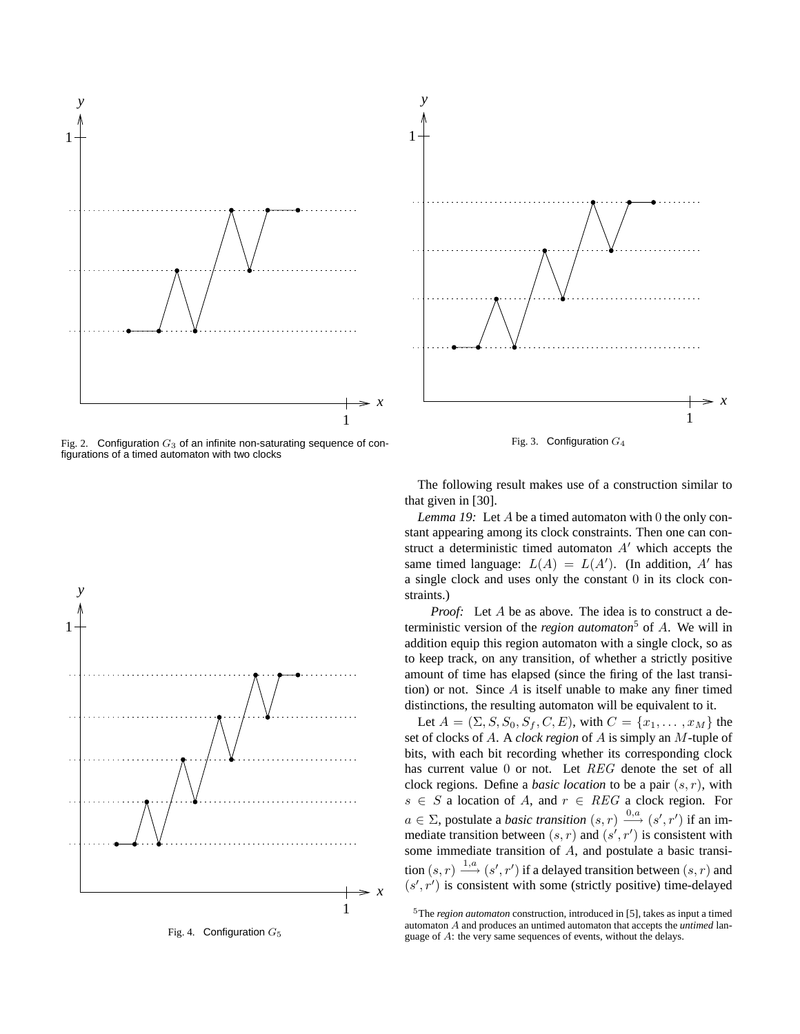





Fig. 4. Configuration  $G_5$ 



Fig. 3. Configuration  $G_4$ 

The following result makes use of a construction similar to that given in [30].

*Lemma 19:* Let A be a timed automaton with 0 the only constant appearing among its clock constraints. Then one can construct a deterministic timed automaton  $A'$  which accepts the same timed language:  $L(A) = L(A')$ . (In addition, A' has a single clock and uses only the constant 0 in its clock constraints.)

*Proof:* Let A be as above. The idea is to construct a deterministic version of the *region automaton*<sup>5</sup> of A. We will in addition equip this region automaton with a single clock, so as to keep track, on any transition, of whether a strictly positive amount of time has elapsed (since the firing of the last transition) or not. Since  $A$  is itself unable to make any finer timed distinctions, the resulting automaton will be equivalent to it.

Let  $A = (\Sigma, S, S_0, S_f, C, E)$ , with  $C = \{x_1, \dots, x_M\}$  the set of clocks of A. A *clock region* of A is simply an M-tuple of bits, with each bit recording whether its corresponding clock has current value 0 or not. Let REG denote the set of all clock regions. Define a *basic location* to be a pair (s, r), with  $s \in S$  a location of A, and  $r \in REG$  a clock region. For  $a \in \Sigma$ , postulate a *basic transition*  $(s, r) \xrightarrow{0, a} (s', r')$  if an immediate transition between  $(s, r)$  and  $(s', r')$  is consistent with some immediate transition of A, and postulate a basic transition  $(s, r) \stackrel{1, a}{\longrightarrow} (s', r')$  if a delayed transition between  $(s, r)$  and  $(s', r')$  is consistent with some (strictly positive) time-delayed

<sup>5</sup>The *region automaton* construction, introduced in [5], takes as input a timed automaton A and produces an untimed automaton that accepts the *untimed* language of A: the very same sequences of events, without the delays.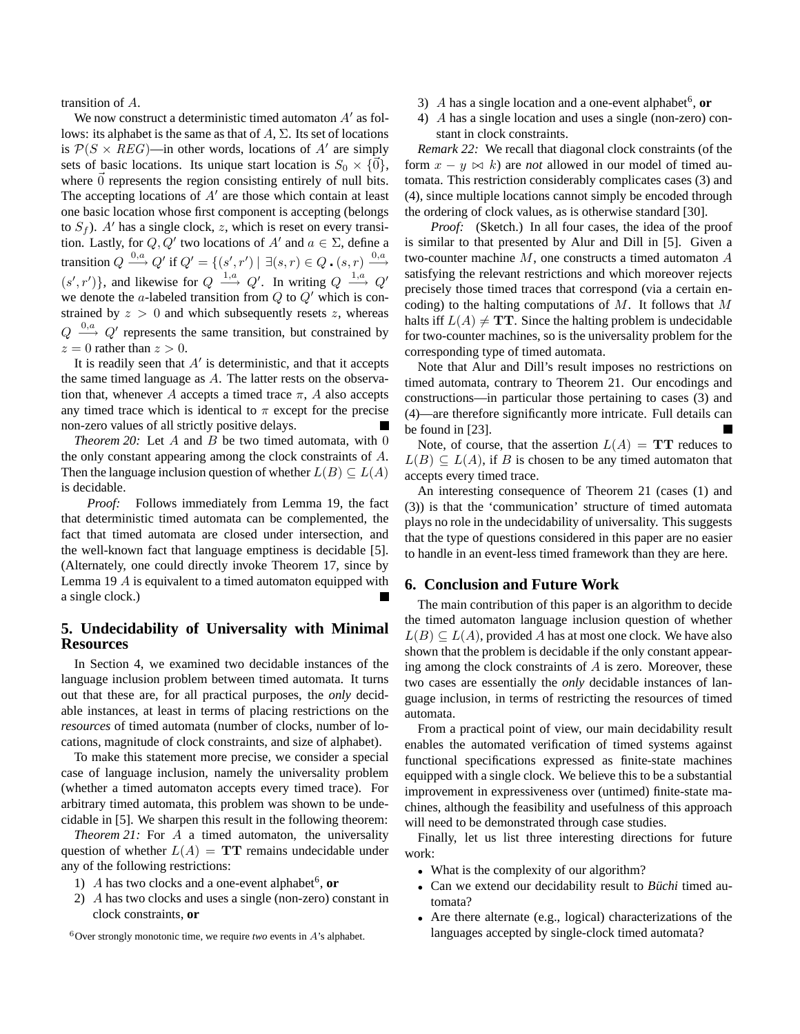transition of A.

We now construct a deterministic timed automaton  $A'$  as follows: its alphabet is the same as that of  $A$ ,  $\Sigma$ . Its set of locations is  $P(S \times REG)$ —in other words, locations of A' are simply sets of basic locations. Its unique start location is  $S_0 \times \{ \vec{0} \},$ where  $\vec{0}$  represents the region consisting entirely of null bits. The accepting locations of  $A<sup>'</sup>$  are those which contain at least one basic location whose first component is accepting (belongs to  $S_f$ ). A' has a single clock, z, which is reset on every transition. Lastly, for  $Q, Q'$  two locations of  $A'$  and  $a \in \Sigma$ , define a transition  $Q \stackrel{0,a}{\longrightarrow} Q'$  if  $Q' = \{(s',r') \mid \exists (s,r) \in Q \cdot (s,r) \stackrel{0,a}{\longrightarrow}$  $(s', r')\}$ , and likewise for  $Q \stackrel{1,a}{\longrightarrow} Q'$ . In writing  $Q \stackrel{1,a}{\longrightarrow} Q'$ we denote the a-labeled transition from  $Q$  to  $Q'$  which is constrained by  $z > 0$  and which subsequently resets z, whereas  $Q \stackrel{0,a}{\longrightarrow} Q'$  represents the same transition, but constrained by  $z = 0$  rather than  $z > 0$ .

It is readily seen that  $A'$  is deterministic, and that it accepts the same timed language as A. The latter rests on the observation that, whenever A accepts a timed trace  $\pi$ , A also accepts any timed trace which is identical to  $\pi$  except for the precise non-zero values of all strictly positive delays.

*Theorem* 20: Let  $A$  and  $B$  be two timed automata, with 0 the only constant appearing among the clock constraints of A. Then the language inclusion question of whether  $L(B) \subseteq L(A)$ is decidable.

*Proof:* Follows immediately from Lemma 19, the fact that deterministic timed automata can be complemented, the fact that timed automata are closed under intersection, and the well-known fact that language emptiness is decidable [5]. (Alternately, one could directly invoke Theorem 17, since by Lemma 19 A is equivalent to a timed automaton equipped with a single clock.)

# **5. Undecidability of Universality with Minimal Resources**

In Section 4, we examined two decidable instances of the language inclusion problem between timed automata. It turns out that these are, for all practical purposes, the *only* decidable instances, at least in terms of placing restrictions on the *resources* of timed automata (number of clocks, number of locations, magnitude of clock constraints, and size of alphabet).

To make this statement more precise, we consider a special case of language inclusion, namely the universality problem (whether a timed automaton accepts every timed trace). For arbitrary timed automata, this problem was shown to be undecidable in [5]. We sharpen this result in the following theorem:

*Theorem 21:* For A a timed automaton, the universality question of whether  $L(A) = TT$  remains undecidable under any of the following restrictions:

- 1)  $A$  has two clocks and a one-event alphabet<sup>6</sup>, or
- 2) A has two clocks and uses a single (non-zero) constant in clock constraints, **or**
- 3)  $A$  has a single location and a one-event alphabet<sup>6</sup>, or
- 4) A has a single location and uses a single (non-zero) constant in clock constraints.

*Remark 22:* We recall that diagonal clock constraints (of the form  $x - y \bowtie k$ ) are *not* allowed in our model of timed automata. This restriction considerably complicates cases (3) and (4), since multiple locations cannot simply be encoded through the ordering of clock values, as is otherwise standard [30].

*Proof:* (Sketch.) In all four cases, the idea of the proof is similar to that presented by Alur and Dill in [5]. Given a two-counter machine  $M$ , one constructs a timed automaton  $A$ satisfying the relevant restrictions and which moreover rejects precisely those timed traces that correspond (via a certain encoding) to the halting computations of  $M$ . It follows that  $M$ halts iff  $L(A) \neq TT$ . Since the halting problem is undecidable for two-counter machines, so is the universality problem for the corresponding type of timed automata.

Note that Alur and Dill's result imposes no restrictions on timed automata, contrary to Theorem 21. Our encodings and constructions—in particular those pertaining to cases (3) and (4)—are therefore significantly more intricate. Full details can be found in [23].

Note, of course, that the assertion  $L(A) = TT$  reduces to  $L(B) \subseteq L(A)$ , if B is chosen to be any timed automaton that accepts every timed trace.

An interesting consequence of Theorem 21 (cases (1) and (3)) is that the 'communication' structure of timed automata plays no role in the undecidability of universality. This suggests that the type of questions considered in this paper are no easier to handle in an event-less timed framework than they are here.

#### **6. Conclusion and Future Work**

The main contribution of this paper is an algorithm to decide the timed automaton language inclusion question of whether  $L(B) \subseteq L(A)$ , provided A has at most one clock. We have also shown that the problem is decidable if the only constant appearing among the clock constraints of  $A$  is zero. Moreover, these two cases are essentially the *only* decidable instances of language inclusion, in terms of restricting the resources of timed automata.

From a practical point of view, our main decidability result enables the automated verification of timed systems against functional specifications expressed as finite-state machines equipped with a single clock. We believe this to be a substantial improvement in expressiveness over (untimed) finite-state machines, although the feasibility and usefulness of this approach will need to be demonstrated through case studies.

Finally, let us list three interesting directions for future work:

- What is the complexity of our algorithm?
- Can we extend our decidability result to *Büchi* timed automata?
- Are there alternate (e.g., logical) characterizations of the languages accepted by single-clock timed automata?

<sup>&</sup>lt;sup>6</sup>Over strongly monotonic time, we require *two* events in  $A$ 's alphabet.